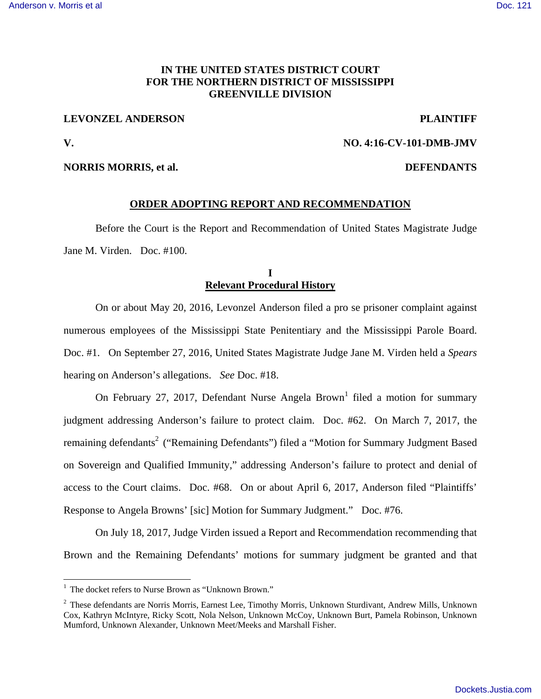# **IN THE UNITED STATES DISTRICT COURT FOR THE NORTHERN DISTRICT OF MISSISSIPPI GREENVILLE DIVISION**

## **LEVONZEL ANDERSON PLAINTIFF**

**V. NO. 4:16-CV-101-DMB-JMV** 

 $\overline{a}$ 

#### **NORRIS MORRIS, et al. DEFENDANTS**

### **ORDER ADOPTING REPORT AND RECOMMENDATION**

Before the Court is the Report and Recommendation of United States Magistrate Judge Jane M. Virden. Doc. #100.

## **I Relevant Procedural History**

On or about May 20, 2016, Levonzel Anderson filed a pro se prisoner complaint against numerous employees of the Mississippi State Penitentiary and the Mississippi Parole Board. Doc. #1. On September 27, 2016, United States Magistrate Judge Jane M. Virden held a *Spears*  hearing on Anderson's allegations. *See* Doc. #18.

On February 27, 2017, Defendant Nurse Angela Brown<sup>1</sup> filed a motion for summary judgment addressing Anderson's failure to protect claim. Doc. #62. On March 7, 2017, the remaining defendants<sup>2</sup> ("Remaining Defendants") filed a "Motion for Summary Judgment Based on Sovereign and Qualified Immunity," addressing Anderson's failure to protect and denial of access to the Court claims. Doc. #68. On or about April 6, 2017, Anderson filed "Plaintiffs' Response to Angela Browns' [sic] Motion for Summary Judgment." Doc. #76.

On July 18, 2017, Judge Virden issued a Report and Recommendation recommending that Brown and the Remaining Defendants' motions for summary judgment be granted and that

<sup>&</sup>lt;sup>1</sup> The docket refers to Nurse Brown as "Unknown Brown."

<sup>&</sup>lt;sup>2</sup> These defendants are Norris Morris, Earnest Lee, Timothy Morris, Unknown Sturdivant, Andrew Mills, Unknown Cox, Kathryn McIntyre, Ricky Scott, Nola Nelson, Unknown McCoy, Unknown Burt, Pamela Robinson, Unknown Mumford, Unknown Alexander, Unknown Meet/Meeks and Marshall Fisher.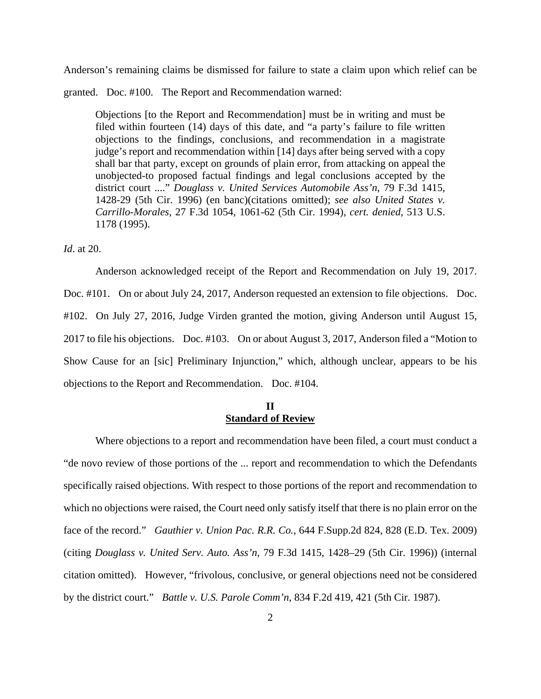Anderson's remaining claims be dismissed for failure to state a claim upon which relief can be

granted. Doc. #100. The Report and Recommendation warned:

Objections [to the Report and Recommendation] must be in writing and must be filed within fourteen (14) days of this date, and "a party's failure to file written objections to the findings, conclusions, and recommendation in a magistrate judge's report and recommendation within [14] days after being served with a copy shall bar that party, except on grounds of plain error, from attacking on appeal the unobjected-to proposed factual findings and legal conclusions accepted by the district court ...." *Douglass v. United Services Automobile Ass'n*, 79 F.3d 1415, 1428-29 (5th Cir. 1996) (en banc)(citations omitted); *see also United States v. Carrillo-Morales*, 27 F.3d 1054, 1061-62 (5th Cir. 1994), *cert. denied*, 513 U.S. 1178 (1995).

### *Id*. at 20.

 Anderson acknowledged receipt of the Report and Recommendation on July 19, 2017. Doc. #101. On or about July 24, 2017, Anderson requested an extension to file objections. Doc. #102. On July 27, 2016, Judge Virden granted the motion, giving Anderson until August 15, 2017 to file his objections. Doc. #103. On or about August 3, 2017, Anderson filed a "Motion to Show Cause for an [sic] Preliminary Injunction," which, although unclear, appears to be his objections to the Report and Recommendation. Doc. #104.

## **II Standard of Review**

Where objections to a report and recommendation have been filed, a court must conduct a "de novo review of those portions of the ... report and recommendation to which the Defendants specifically raised objections. With respect to those portions of the report and recommendation to which no objections were raised, the Court need only satisfy itself that there is no plain error on the face of the record." *Gauthier v. Union Pac. R.R. Co.*, 644 F.Supp.2d 824, 828 (E.D. Tex. 2009) (citing *Douglass v. United Serv. Auto. Ass'n*, 79 F.3d 1415, 1428–29 (5th Cir. 1996)) (internal citation omitted). However, "frivolous, conclusive, or general objections need not be considered by the district court." *Battle v. U.S. Parole Comm'n*, 834 F.2d 419, 421 (5th Cir. 1987).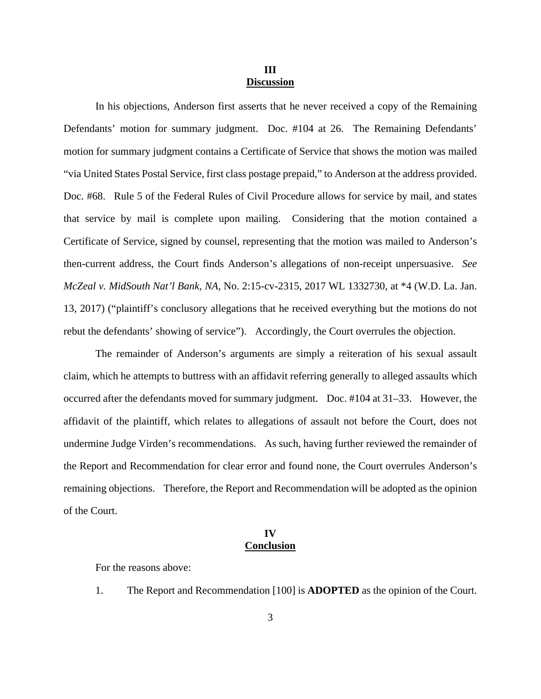#### **III Discussion**

 In his objections, Anderson first asserts that he never received a copy of the Remaining Defendants' motion for summary judgment. Doc. #104 at 26. The Remaining Defendants' motion for summary judgment contains a Certificate of Service that shows the motion was mailed "via United States Postal Service, first class postage prepaid," to Anderson at the address provided. Doc. #68. Rule 5 of the Federal Rules of Civil Procedure allows for service by mail, and states that service by mail is complete upon mailing. Considering that the motion contained a Certificate of Service, signed by counsel, representing that the motion was mailed to Anderson's then-current address, the Court finds Anderson's allegations of non-receipt unpersuasive. *See McZeal v. MidSouth Nat'l Bank, NA*, No. 2:15-cv-2315, 2017 WL 1332730, at \*4 (W.D. La. Jan. 13, 2017) ("plaintiff's conclusory allegations that he received everything but the motions do not rebut the defendants' showing of service"). Accordingly, the Court overrules the objection.

 The remainder of Anderson's arguments are simply a reiteration of his sexual assault claim, which he attempts to buttress with an affidavit referring generally to alleged assaults which occurred after the defendants moved for summary judgment. Doc. #104 at 31–33. However, the affidavit of the plaintiff, which relates to allegations of assault not before the Court, does not undermine Judge Virden's recommendations. As such, having further reviewed the remainder of the Report and Recommendation for clear error and found none, the Court overrules Anderson's remaining objections. Therefore, the Report and Recommendation will be adopted as the opinion of the Court.

## **IV Conclusion**

For the reasons above:

1. The Report and Recommendation [100] is **ADOPTED** as the opinion of the Court.